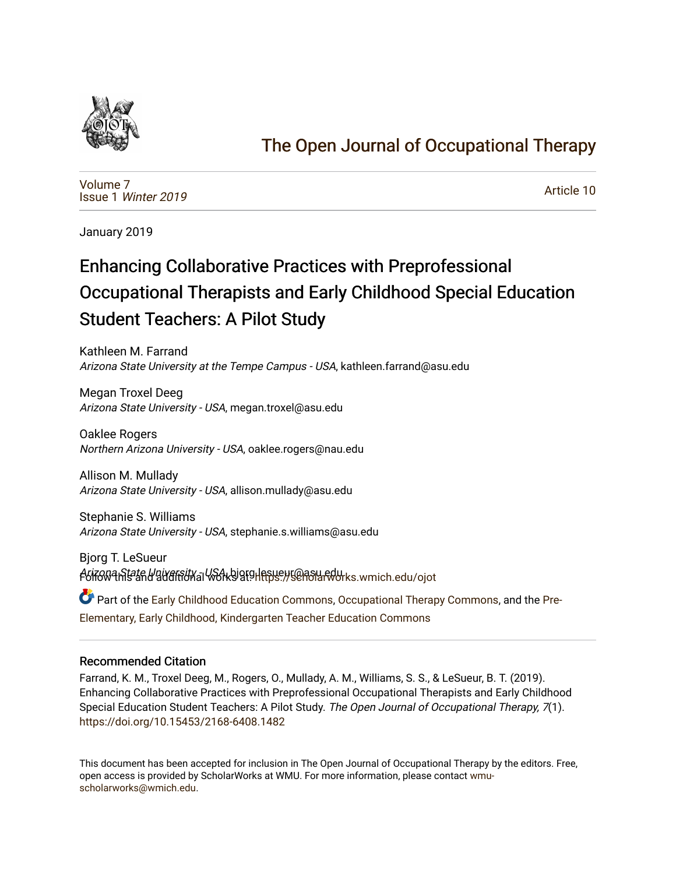

# [The Open Journal of Occupational Therapy](https://scholarworks.wmich.edu/ojot)

[Volume 7](https://scholarworks.wmich.edu/ojot/vol7) Issue 1 [Winter 2019](https://scholarworks.wmich.edu/ojot/vol7/iss1) 

[Article 10](https://scholarworks.wmich.edu/ojot/vol7/iss1/10) 

January 2019

# Enhancing Collaborative Practices with Preprofessional Occupational Therapists and Early Childhood Special Education Student Teachers: A Pilot Study

Kathleen M. Farrand Arizona State University at the Tempe Campus - USA, kathleen.farrand@asu.edu

Megan Troxel Deeg Arizona State University - USA, megan.troxel@asu.edu

Oaklee Rogers Northern Arizona University - USA, oaklee.rogers@nau.edu

Allison M. Mullady Arizona State University - USA, allison.mullady@asu.edu

Stephanie S. Williams Arizona State University - USA, stephanie.s.williams@asu.edu

Bjorg T. LeSueur Arizowa State University all Workbigtellesueur@asu.edu recht.edu/ojot

Part of the [Early Childhood Education Commons,](http://network.bepress.com/hgg/discipline/1377?utm_source=scholarworks.wmich.edu%2Fojot%2Fvol7%2Fiss1%2F10&utm_medium=PDF&utm_campaign=PDFCoverPages) [Occupational Therapy Commons,](http://network.bepress.com/hgg/discipline/752?utm_source=scholarworks.wmich.edu%2Fojot%2Fvol7%2Fiss1%2F10&utm_medium=PDF&utm_campaign=PDFCoverPages) and the [Pre-](http://network.bepress.com/hgg/discipline/808?utm_source=scholarworks.wmich.edu%2Fojot%2Fvol7%2Fiss1%2F10&utm_medium=PDF&utm_campaign=PDFCoverPages)[Elementary, Early Childhood, Kindergarten Teacher Education Commons](http://network.bepress.com/hgg/discipline/808?utm_source=scholarworks.wmich.edu%2Fojot%2Fvol7%2Fiss1%2F10&utm_medium=PDF&utm_campaign=PDFCoverPages)

#### Recommended Citation

Farrand, K. M., Troxel Deeg, M., Rogers, O., Mullady, A. M., Williams, S. S., & LeSueur, B. T. (2019). Enhancing Collaborative Practices with Preprofessional Occupational Therapists and Early Childhood Special Education Student Teachers: A Pilot Study. The Open Journal of Occupational Therapy, 7(1). <https://doi.org/10.15453/2168-6408.1482>

This document has been accepted for inclusion in The Open Journal of Occupational Therapy by the editors. Free, open access is provided by ScholarWorks at WMU. For more information, please contact [wmu](mailto:wmu-scholarworks@wmich.edu)[scholarworks@wmich.edu.](mailto:wmu-scholarworks@wmich.edu)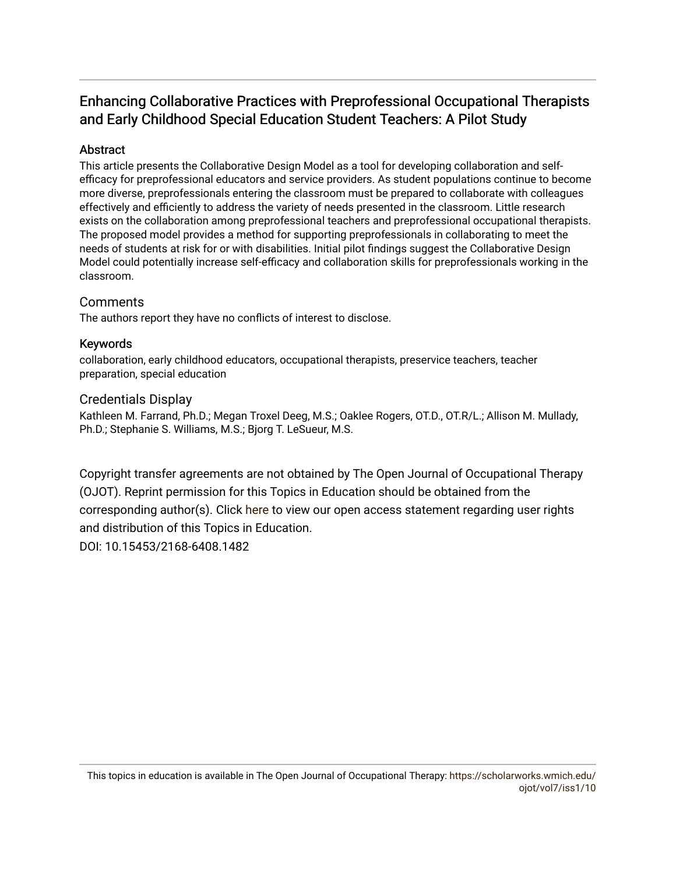## Enhancing Collaborative Practices with Preprofessional Occupational Therapists and Early Childhood Special Education Student Teachers: A Pilot Study

## Abstract

This article presents the Collaborative Design Model as a tool for developing collaboration and selfefficacy for preprofessional educators and service providers. As student populations continue to become more diverse, preprofessionals entering the classroom must be prepared to collaborate with colleagues effectively and efficiently to address the variety of needs presented in the classroom. Little research exists on the collaboration among preprofessional teachers and preprofessional occupational therapists. The proposed model provides a method for supporting preprofessionals in collaborating to meet the needs of students at risk for or with disabilities. Initial pilot findings suggest the Collaborative Design Model could potentially increase self-efficacy and collaboration skills for preprofessionals working in the classroom.

## **Comments**

The authors report they have no conflicts of interest to disclose.

#### Keywords

collaboration, early childhood educators, occupational therapists, preservice teachers, teacher preparation, special education

#### Credentials Display

Kathleen M. Farrand, Ph.D.; Megan Troxel Deeg, M.S.; Oaklee Rogers, OT.D., OT.R/L.; Allison M. Mullady, Ph.D.; Stephanie S. Williams, M.S.; Bjorg T. LeSueur, M.S.

Copyright transfer agreements are not obtained by The Open Journal of Occupational Therapy (OJOT). Reprint permission for this Topics in Education should be obtained from the corresponding author(s). Click [here](https://scholarworks.wmich.edu/ojot/policies.html#rights) to view our open access statement regarding user rights and distribution of this Topics in Education. DOI: 10.15453/2168-6408.1482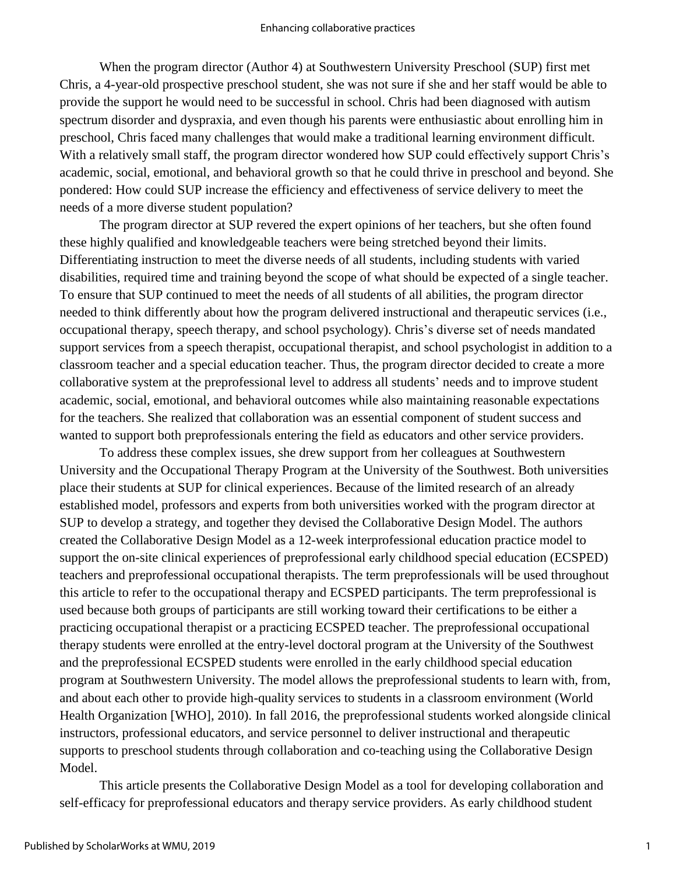When the program director (Author 4) at Southwestern University Preschool (SUP) first met Chris, a 4-year-old prospective preschool student, she was not sure if she and her staff would be able to provide the support he would need to be successful in school. Chris had been diagnosed with autism spectrum disorder and dyspraxia, and even though his parents were enthusiastic about enrolling him in preschool, Chris faced many challenges that would make a traditional learning environment difficult. With a relatively small staff, the program director wondered how SUP could effectively support Chris's academic, social, emotional, and behavioral growth so that he could thrive in preschool and beyond. She pondered: How could SUP increase the efficiency and effectiveness of service delivery to meet the needs of a more diverse student population?

The program director at SUP revered the expert opinions of her teachers, but she often found these highly qualified and knowledgeable teachers were being stretched beyond their limits. Differentiating instruction to meet the diverse needs of all students, including students with varied disabilities, required time and training beyond the scope of what should be expected of a single teacher. To ensure that SUP continued to meet the needs of all students of all abilities, the program director needed to think differently about how the program delivered instructional and therapeutic services (i.e., occupational therapy, speech therapy, and school psychology). Chris's diverse set of needs mandated support services from a speech therapist, occupational therapist, and school psychologist in addition to a classroom teacher and a special education teacher. Thus, the program director decided to create a more collaborative system at the preprofessional level to address all students' needs and to improve student academic, social, emotional, and behavioral outcomes while also maintaining reasonable expectations for the teachers. She realized that collaboration was an essential component of student success and wanted to support both preprofessionals entering the field as educators and other service providers.

To address these complex issues, she drew support from her colleagues at Southwestern University and the Occupational Therapy Program at the University of the Southwest. Both universities place their students at SUP for clinical experiences. Because of the limited research of an already established model, professors and experts from both universities worked with the program director at SUP to develop a strategy, and together they devised the Collaborative Design Model. The authors created the Collaborative Design Model as a 12-week interprofessional education practice model to support the on-site clinical experiences of preprofessional early childhood special education (ECSPED) teachers and preprofessional occupational therapists. The term preprofessionals will be used throughout this article to refer to the occupational therapy and ECSPED participants. The term preprofessional is used because both groups of participants are still working toward their certifications to be either a practicing occupational therapist or a practicing ECSPED teacher. The preprofessional occupational therapy students were enrolled at the entry-level doctoral program at the University of the Southwest and the preprofessional ECSPED students were enrolled in the early childhood special education program at Southwestern University. The model allows the preprofessional students to learn with, from, and about each other to provide high-quality services to students in a classroom environment (World Health Organization [WHO], 2010). In fall 2016, the preprofessional students worked alongside clinical instructors, professional educators, and service personnel to deliver instructional and therapeutic supports to preschool students through collaboration and co-teaching using the Collaborative Design Model.

This article presents the Collaborative Design Model as a tool for developing collaboration and self-efficacy for preprofessional educators and therapy service providers. As early childhood student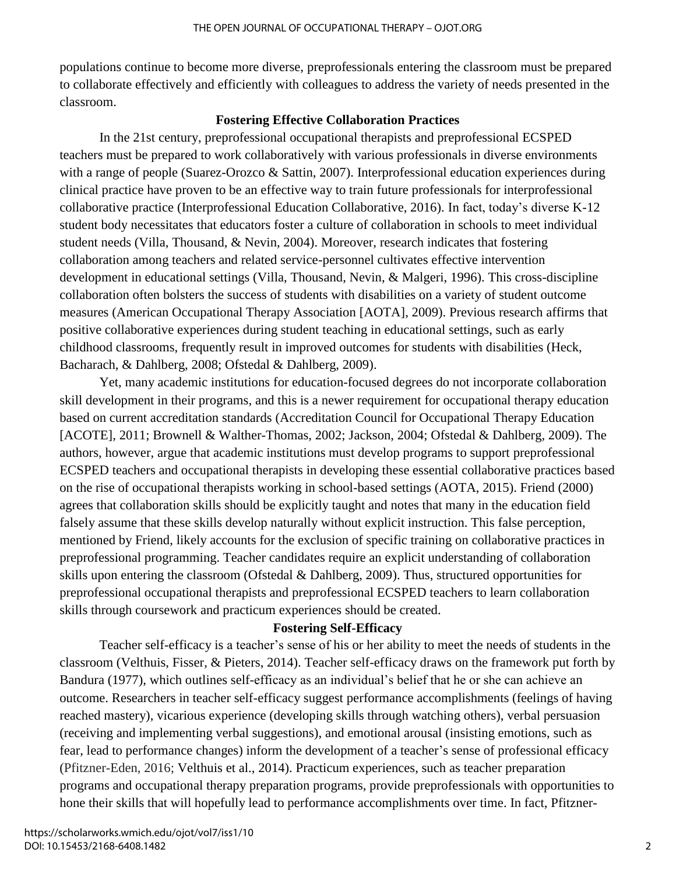populations continue to become more diverse, preprofessionals entering the classroom must be prepared to collaborate effectively and efficiently with colleagues to address the variety of needs presented in the classroom.

#### **Fostering Effective Collaboration Practices**

In the 21st century, preprofessional occupational therapists and preprofessional ECSPED teachers must be prepared to work collaboratively with various professionals in diverse environments with a range of people (Suarez-Orozco & Sattin, 2007). Interprofessional education experiences during clinical practice have proven to be an effective way to train future professionals for interprofessional collaborative practice (Interprofessional Education Collaborative, 2016). In fact, today's diverse K-12 student body necessitates that educators foster a culture of collaboration in schools to meet individual student needs (Villa, Thousand, & Nevin, 2004). Moreover, research indicates that fostering collaboration among teachers and related service-personnel cultivates effective intervention development in educational settings (Villa, Thousand, Nevin, & Malgeri, 1996). This cross-discipline collaboration often bolsters the success of students with disabilities on a variety of student outcome measures (American Occupational Therapy Association [AOTA], 2009). Previous research affirms that positive collaborative experiences during student teaching in educational settings, such as early childhood classrooms, frequently result in improved outcomes for students with disabilities (Heck, Bacharach, & Dahlberg, 2008; Ofstedal & Dahlberg, 2009).

Yet, many academic institutions for education-focused degrees do not incorporate collaboration skill development in their programs, and this is a newer requirement for occupational therapy education based on current accreditation standards (Accreditation Council for Occupational Therapy Education [ACOTE], 2011; Brownell & Walther-Thomas, 2002; Jackson, 2004; Ofstedal & Dahlberg, 2009). The authors, however, argue that academic institutions must develop programs to support preprofessional ECSPED teachers and occupational therapists in developing these essential collaborative practices based on the rise of occupational therapists working in school-based settings (AOTA, 2015). Friend (2000) agrees that collaboration skills should be explicitly taught and notes that many in the education field falsely assume that these skills develop naturally without explicit instruction. This false perception, mentioned by Friend, likely accounts for the exclusion of specific training on collaborative practices in preprofessional programming. Teacher candidates require an explicit understanding of collaboration skills upon entering the classroom (Ofstedal & Dahlberg, 2009). Thus, structured opportunities for preprofessional occupational therapists and preprofessional ECSPED teachers to learn collaboration skills through coursework and practicum experiences should be created.

#### **Fostering Self-Efficacy**

Teacher self-efficacy is a teacher's sense of his or her ability to meet the needs of students in the classroom (Velthuis, Fisser, & Pieters, 2014). Teacher self-efficacy draws on the framework put forth by Bandura (1977), which outlines self-efficacy as an individual's belief that he or she can achieve an outcome. Researchers in teacher self-efficacy suggest performance accomplishments (feelings of having reached mastery), vicarious experience (developing skills through watching others), verbal persuasion (receiving and implementing verbal suggestions), and emotional arousal (insisting emotions, such as fear, lead to performance changes) inform the development of a teacher's sense of professional efficacy (Pfitzner-Eden, 2016; Velthuis et al., 2014). Practicum experiences, such as teacher preparation programs and occupational therapy preparation programs, provide preprofessionals with opportunities to hone their skills that will hopefully lead to performance accomplishments over time. In fact, Pfitzner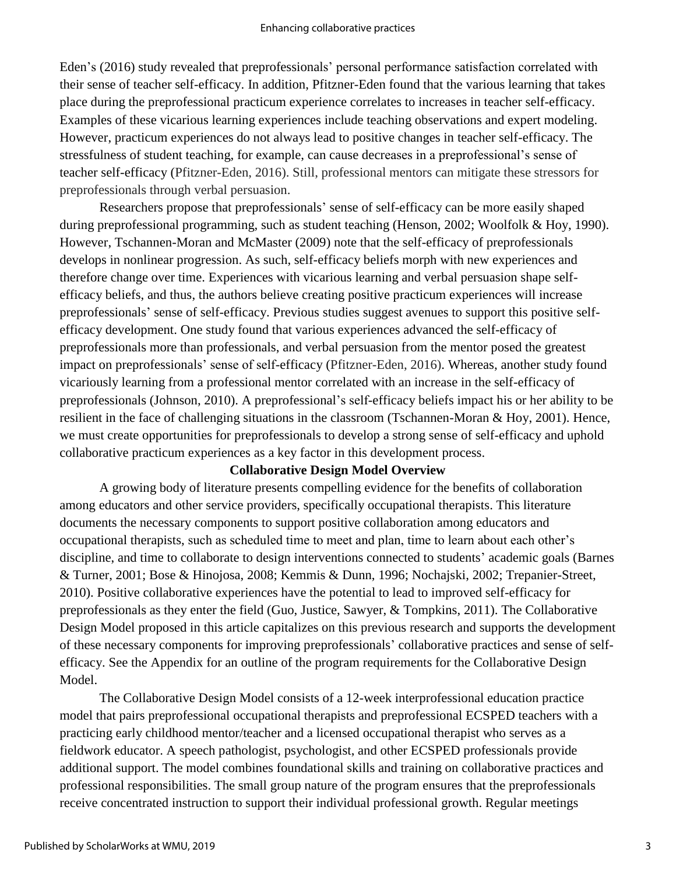Eden's (2016) study revealed that preprofessionals' personal performance satisfaction correlated with their sense of teacher self-efficacy. In addition, Pfitzner-Eden found that the various learning that takes place during the preprofessional practicum experience correlates to increases in teacher self-efficacy. Examples of these vicarious learning experiences include teaching observations and expert modeling. However, practicum experiences do not always lead to positive changes in teacher self-efficacy. The stressfulness of student teaching, for example, can cause decreases in a preprofessional's sense of teacher self-efficacy (Pfitzner-Eden, 2016). Still, professional mentors can mitigate these stressors for preprofessionals through verbal persuasion.

Researchers propose that preprofessionals' sense of self-efficacy can be more easily shaped during preprofessional programming, such as student teaching (Henson, 2002; Woolfolk & Hoy, 1990). However, Tschannen-Moran and McMaster (2009) note that the self-efficacy of preprofessionals develops in nonlinear progression. As such, self-efficacy beliefs morph with new experiences and therefore change over time. Experiences with vicarious learning and verbal persuasion shape selfefficacy beliefs, and thus, the authors believe creating positive practicum experiences will increase preprofessionals' sense of self-efficacy. Previous studies suggest avenues to support this positive selfefficacy development. One study found that various experiences advanced the self-efficacy of preprofessionals more than professionals, and verbal persuasion from the mentor posed the greatest impact on preprofessionals' sense of self-efficacy (Pfitzner-Eden, 2016). Whereas, another study found vicariously learning from a professional mentor correlated with an increase in the self-efficacy of preprofessionals (Johnson, 2010). A preprofessional's self-efficacy beliefs impact his or her ability to be resilient in the face of challenging situations in the classroom (Tschannen-Moran & Hoy, 2001). Hence, we must create opportunities for preprofessionals to develop a strong sense of self-efficacy and uphold collaborative practicum experiences as a key factor in this development process.

#### **Collaborative Design Model Overview**

A growing body of literature presents compelling evidence for the benefits of collaboration among educators and other service providers, specifically occupational therapists. This literature documents the necessary components to support positive collaboration among educators and occupational therapists, such as scheduled time to meet and plan, time to learn about each other's discipline, and time to collaborate to design interventions connected to students' academic goals (Barnes & Turner, 2001; Bose & Hinojosa, 2008; Kemmis & Dunn, 1996; Nochajski, 2002; Trepanier-Street, 2010). Positive collaborative experiences have the potential to lead to improved self-efficacy for preprofessionals as they enter the field (Guo, Justice, Sawyer, & Tompkins, 2011). The Collaborative Design Model proposed in this article capitalizes on this previous research and supports the development of these necessary components for improving preprofessionals' collaborative practices and sense of selfefficacy. See the Appendix for an outline of the program requirements for the Collaborative Design Model.

The Collaborative Design Model consists of a 12-week interprofessional education practice model that pairs preprofessional occupational therapists and preprofessional ECSPED teachers with a practicing early childhood mentor/teacher and a licensed occupational therapist who serves as a fieldwork educator. A speech pathologist, psychologist, and other ECSPED professionals provide additional support. The model combines foundational skills and training on collaborative practices and professional responsibilities. The small group nature of the program ensures that the preprofessionals receive concentrated instruction to support their individual professional growth. Regular meetings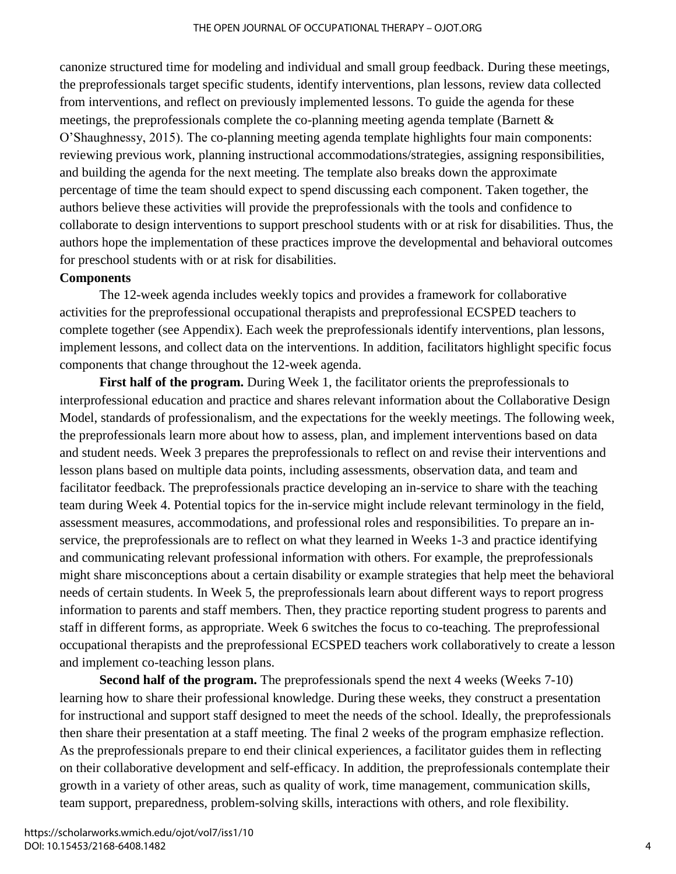#### THE OPEN JOURNAL OF OCCUPATIONAL THERAPY – OJOT.ORG

canonize structured time for modeling and individual and small group feedback. During these meetings, the preprofessionals target specific students, identify interventions, plan lessons, review data collected from interventions, and reflect on previously implemented lessons. To guide the agenda for these meetings, the preprofessionals complete the co-planning meeting agenda template (Barnett & O'Shaughnessy, 2015). The co-planning meeting agenda template highlights four main components: reviewing previous work, planning instructional accommodations/strategies, assigning responsibilities, and building the agenda for the next meeting. The template also breaks down the approximate percentage of time the team should expect to spend discussing each component. Taken together, the authors believe these activities will provide the preprofessionals with the tools and confidence to collaborate to design interventions to support preschool students with or at risk for disabilities. Thus, the authors hope the implementation of these practices improve the developmental and behavioral outcomes for preschool students with or at risk for disabilities.

#### **Components**

The 12-week agenda includes weekly topics and provides a framework for collaborative activities for the preprofessional occupational therapists and preprofessional ECSPED teachers to complete together (see Appendix). Each week the preprofessionals identify interventions, plan lessons, implement lessons, and collect data on the interventions. In addition, facilitators highlight specific focus components that change throughout the 12-week agenda.

**First half of the program.** During Week 1, the facilitator orients the preprofessionals to interprofessional education and practice and shares relevant information about the Collaborative Design Model, standards of professionalism, and the expectations for the weekly meetings. The following week, the preprofessionals learn more about how to assess, plan, and implement interventions based on data and student needs. Week 3 prepares the preprofessionals to reflect on and revise their interventions and lesson plans based on multiple data points, including assessments, observation data, and team and facilitator feedback. The preprofessionals practice developing an in-service to share with the teaching team during Week 4. Potential topics for the in-service might include relevant terminology in the field, assessment measures, accommodations, and professional roles and responsibilities. To prepare an inservice, the preprofessionals are to reflect on what they learned in Weeks 1-3 and practice identifying and communicating relevant professional information with others. For example, the preprofessionals might share misconceptions about a certain disability or example strategies that help meet the behavioral needs of certain students. In Week 5, the preprofessionals learn about different ways to report progress information to parents and staff members. Then, they practice reporting student progress to parents and staff in different forms, as appropriate. Week 6 switches the focus to co-teaching. The preprofessional occupational therapists and the preprofessional ECSPED teachers work collaboratively to create a lesson and implement co-teaching lesson plans.

**Second half of the program.** The preprofessionals spend the next 4 weeks (Weeks 7-10) learning how to share their professional knowledge. During these weeks, they construct a presentation for instructional and support staff designed to meet the needs of the school. Ideally, the preprofessionals then share their presentation at a staff meeting. The final 2 weeks of the program emphasize reflection. As the preprofessionals prepare to end their clinical experiences, a facilitator guides them in reflecting on their collaborative development and self-efficacy. In addition, the preprofessionals contemplate their growth in a variety of other areas, such as quality of work, time management, communication skills, team support, preparedness, problem-solving skills, interactions with others, and role flexibility.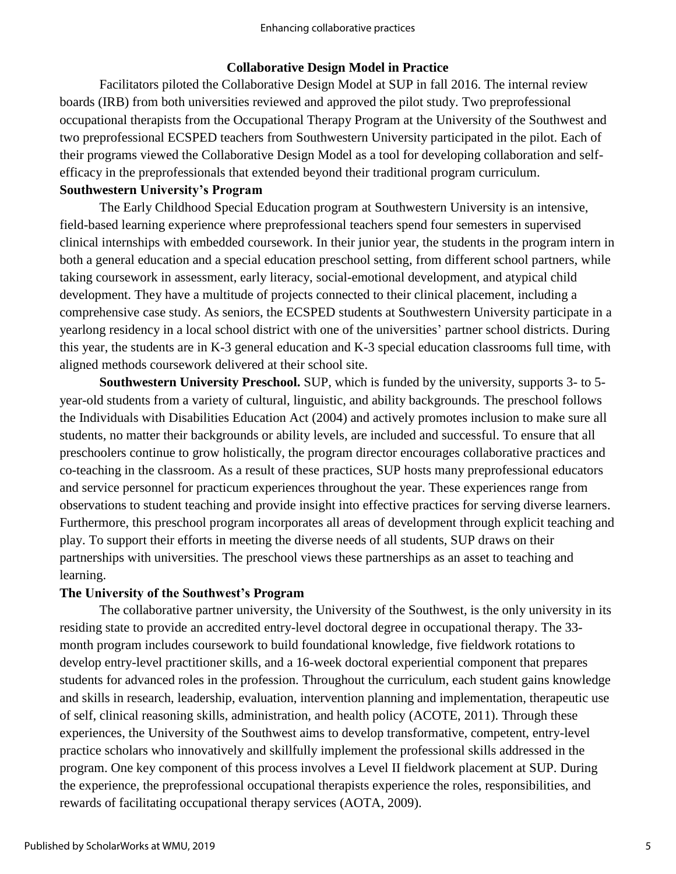#### **Collaborative Design Model in Practice**

Facilitators piloted the Collaborative Design Model at SUP in fall 2016. The internal review boards (IRB) from both universities reviewed and approved the pilot study. Two preprofessional occupational therapists from the Occupational Therapy Program at the University of the Southwest and two preprofessional ECSPED teachers from Southwestern University participated in the pilot. Each of their programs viewed the Collaborative Design Model as a tool for developing collaboration and selfefficacy in the preprofessionals that extended beyond their traditional program curriculum.

#### **Southwestern University's Program**

The Early Childhood Special Education program at Southwestern University is an intensive, field-based learning experience where preprofessional teachers spend four semesters in supervised clinical internships with embedded coursework. In their junior year, the students in the program intern in both a general education and a special education preschool setting, from different school partners, while taking coursework in assessment, early literacy, social-emotional development, and atypical child development. They have a multitude of projects connected to their clinical placement, including a comprehensive case study. As seniors, the ECSPED students at Southwestern University participate in a yearlong residency in a local school district with one of the universities' partner school districts. During this year, the students are in K-3 general education and K-3 special education classrooms full time, with aligned methods coursework delivered at their school site.

**Southwestern University Preschool.** SUP, which is funded by the university, supports 3- to 5 year-old students from a variety of cultural, linguistic, and ability backgrounds. The preschool follows the Individuals with Disabilities Education Act (2004) and actively promotes inclusion to make sure all students, no matter their backgrounds or ability levels, are included and successful. To ensure that all preschoolers continue to grow holistically, the program director encourages collaborative practices and co-teaching in the classroom. As a result of these practices, SUP hosts many preprofessional educators and service personnel for practicum experiences throughout the year. These experiences range from observations to student teaching and provide insight into effective practices for serving diverse learners. Furthermore, this preschool program incorporates all areas of development through explicit teaching and play. To support their efforts in meeting the diverse needs of all students, SUP draws on their partnerships with universities. The preschool views these partnerships as an asset to teaching and learning.

#### **The University of the Southwest's Program**

The collaborative partner university, the University of the Southwest, is the only university in its residing state to provide an accredited entry-level doctoral degree in occupational therapy. The 33 month program includes coursework to build foundational knowledge, five fieldwork rotations to develop entry-level practitioner skills, and a 16-week doctoral experiential component that prepares students for advanced roles in the profession. Throughout the curriculum, each student gains knowledge and skills in research, leadership, evaluation, intervention planning and implementation, therapeutic use of self, clinical reasoning skills, administration, and health policy (ACOTE, 2011). Through these experiences, the University of the Southwest aims to develop transformative, competent, entry-level practice scholars who innovatively and skillfully implement the professional skills addressed in the program. One key component of this process involves a Level II fieldwork placement at SUP. During the experience, the preprofessional occupational therapists experience the roles, responsibilities, and rewards of facilitating occupational therapy services (AOTA, 2009).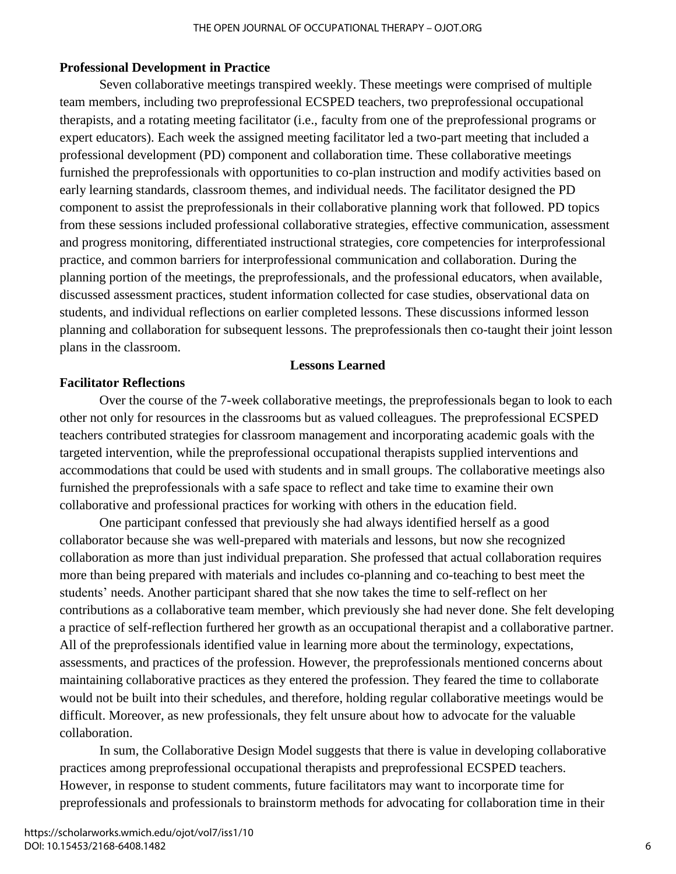## **Professional Development in Practice**

Seven collaborative meetings transpired weekly. These meetings were comprised of multiple team members, including two preprofessional ECSPED teachers, two preprofessional occupational therapists, and a rotating meeting facilitator (i.e., faculty from one of the preprofessional programs or expert educators). Each week the assigned meeting facilitator led a two-part meeting that included a professional development (PD) component and collaboration time. These collaborative meetings furnished the preprofessionals with opportunities to co-plan instruction and modify activities based on early learning standards, classroom themes, and individual needs. The facilitator designed the PD component to assist the preprofessionals in their collaborative planning work that followed. PD topics from these sessions included professional collaborative strategies, effective communication, assessment and progress monitoring, differentiated instructional strategies, core competencies for interprofessional practice, and common barriers for interprofessional communication and collaboration. During the planning portion of the meetings, the preprofessionals, and the professional educators, when available, discussed assessment practices, student information collected for case studies, observational data on students, and individual reflections on earlier completed lessons. These discussions informed lesson planning and collaboration for subsequent lessons. The preprofessionals then co-taught their joint lesson plans in the classroom.

#### **Lessons Learned**

## **Facilitator Reflections**

Over the course of the 7-week collaborative meetings, the preprofessionals began to look to each other not only for resources in the classrooms but as valued colleagues. The preprofessional ECSPED teachers contributed strategies for classroom management and incorporating academic goals with the targeted intervention, while the preprofessional occupational therapists supplied interventions and accommodations that could be used with students and in small groups. The collaborative meetings also furnished the preprofessionals with a safe space to reflect and take time to examine their own collaborative and professional practices for working with others in the education field.

One participant confessed that previously she had always identified herself as a good collaborator because she was well-prepared with materials and lessons, but now she recognized collaboration as more than just individual preparation. She professed that actual collaboration requires more than being prepared with materials and includes co-planning and co-teaching to best meet the students' needs. Another participant shared that she now takes the time to self-reflect on her contributions as a collaborative team member, which previously she had never done. She felt developing a practice of self-reflection furthered her growth as an occupational therapist and a collaborative partner. All of the preprofessionals identified value in learning more about the terminology, expectations, assessments, and practices of the profession. However, the preprofessionals mentioned concerns about maintaining collaborative practices as they entered the profession. They feared the time to collaborate would not be built into their schedules, and therefore, holding regular collaborative meetings would be difficult. Moreover, as new professionals, they felt unsure about how to advocate for the valuable collaboration.

In sum, the Collaborative Design Model suggests that there is value in developing collaborative practices among preprofessional occupational therapists and preprofessional ECSPED teachers. However, in response to student comments, future facilitators may want to incorporate time for preprofessionals and professionals to brainstorm methods for advocating for collaboration time in their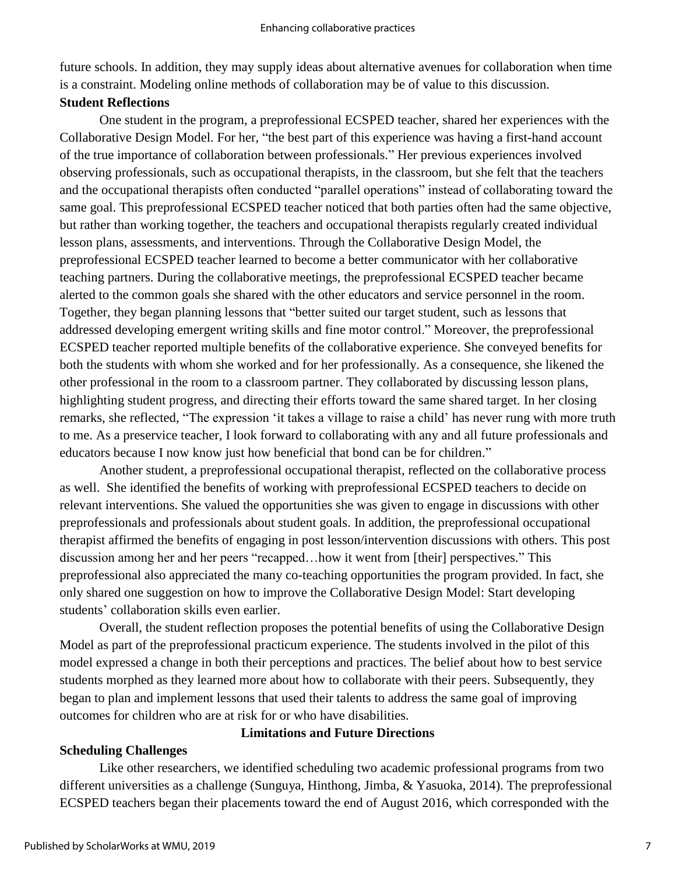future schools. In addition, they may supply ideas about alternative avenues for collaboration when time is a constraint. Modeling online methods of collaboration may be of value to this discussion.

## **Student Reflections**

One student in the program, a preprofessional ECSPED teacher, shared her experiences with the Collaborative Design Model. For her, "the best part of this experience was having a first-hand account of the true importance of collaboration between professionals." Her previous experiences involved observing professionals, such as occupational therapists, in the classroom, but she felt that the teachers and the occupational therapists often conducted "parallel operations" instead of collaborating toward the same goal. This preprofessional ECSPED teacher noticed that both parties often had the same objective, but rather than working together, the teachers and occupational therapists regularly created individual lesson plans, assessments, and interventions. Through the Collaborative Design Model, the preprofessional ECSPED teacher learned to become a better communicator with her collaborative teaching partners. During the collaborative meetings, the preprofessional ECSPED teacher became alerted to the common goals she shared with the other educators and service personnel in the room. Together, they began planning lessons that "better suited our target student, such as lessons that addressed developing emergent writing skills and fine motor control." Moreover, the preprofessional ECSPED teacher reported multiple benefits of the collaborative experience. She conveyed benefits for both the students with whom she worked and for her professionally. As a consequence, she likened the other professional in the room to a classroom partner. They collaborated by discussing lesson plans, highlighting student progress, and directing their efforts toward the same shared target. In her closing remarks, she reflected, "The expression 'it takes a village to raise a child' has never rung with more truth to me. As a preservice teacher, I look forward to collaborating with any and all future professionals and educators because I now know just how beneficial that bond can be for children."

Another student, a preprofessional occupational therapist, reflected on the collaborative process as well. She identified the benefits of working with preprofessional ECSPED teachers to decide on relevant interventions. She valued the opportunities she was given to engage in discussions with other preprofessionals and professionals about student goals. In addition, the preprofessional occupational therapist affirmed the benefits of engaging in post lesson/intervention discussions with others. This post discussion among her and her peers "recapped…how it went from [their] perspectives." This preprofessional also appreciated the many co-teaching opportunities the program provided. In fact, she only shared one suggestion on how to improve the Collaborative Design Model: Start developing students' collaboration skills even earlier.

Overall, the student reflection proposes the potential benefits of using the Collaborative Design Model as part of the preprofessional practicum experience. The students involved in the pilot of this model expressed a change in both their perceptions and practices. The belief about how to best service students morphed as they learned more about how to collaborate with their peers. Subsequently, they began to plan and implement lessons that used their talents to address the same goal of improving outcomes for children who are at risk for or who have disabilities.

## **Scheduling Challenges**

## **Limitations and Future Directions**

Like other researchers, we identified scheduling two academic professional programs from two different universities as a challenge (Sunguya, Hinthong, Jimba, & Yasuoka, 2014). The preprofessional ECSPED teachers began their placements toward the end of August 2016, which corresponded with the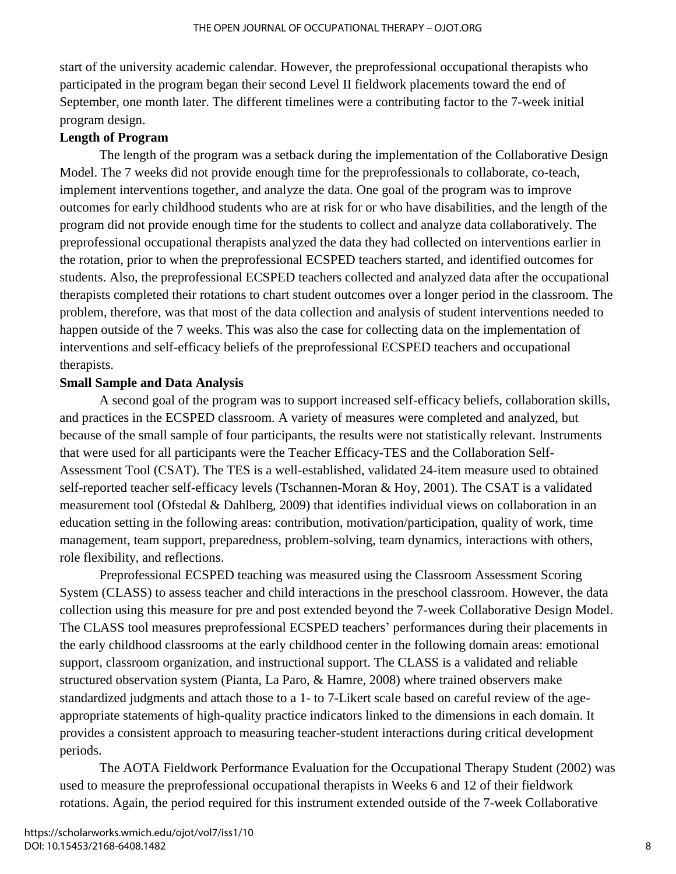start of the university academic calendar. However, the preprofessional occupational therapists who participated in the program began their second Level II fieldwork placements toward the end of September, one month later. The different timelines were a contributing factor to the 7-week initial program design.

## **Length of Program**

The length of the program was a setback during the implementation of the Collaborative Design Model. The 7 weeks did not provide enough time for the preprofessionals to collaborate, co-teach, implement interventions together, and analyze the data. One goal of the program was to improve outcomes for early childhood students who are at risk for or who have disabilities, and the length of the program did not provide enough time for the students to collect and analyze data collaboratively. The preprofessional occupational therapists analyzed the data they had collected on interventions earlier in the rotation, prior to when the preprofessional ECSPED teachers started, and identified outcomes for students. Also, the preprofessional ECSPED teachers collected and analyzed data after the occupational therapists completed their rotations to chart student outcomes over a longer period in the classroom. The problem, therefore, was that most of the data collection and analysis of student interventions needed to happen outside of the 7 weeks. This was also the case for collecting data on the implementation of interventions and self-efficacy beliefs of the preprofessional ECSPED teachers and occupational therapists.

## **Small Sample and Data Analysis**

A second goal of the program was to support increased self-efficacy beliefs, collaboration skills, and practices in the ECSPED classroom. A variety of measures were completed and analyzed, but because of the small sample of four participants, the results were not statistically relevant. Instruments that were used for all participants were the Teacher Efficacy-TES and the Collaboration Self-Assessment Tool (CSAT). The TES is a well-established, validated 24-item measure used to obtained self-reported teacher self-efficacy levels (Tschannen-Moran & Hoy, 2001). The CSAT is a validated measurement tool (Ofstedal & Dahlberg, 2009) that identifies individual views on collaboration in an education setting in the following areas: contribution, motivation/participation, quality of work, time management, team support, preparedness, problem-solving, team dynamics, interactions with others, role flexibility, and reflections.

Preprofessional ECSPED teaching was measured using the Classroom Assessment Scoring System (CLASS) to assess teacher and child interactions in the preschool classroom. However, the data collection using this measure for pre and post extended beyond the 7-week Collaborative Design Model. The CLASS tool measures preprofessional ECSPED teachers' performances during their placements in the early childhood classrooms at the early childhood center in the following domain areas: emotional support, classroom organization, and instructional support. The CLASS is a validated and reliable structured observation system (Pianta, La Paro, & Hamre, 2008) where trained observers make standardized judgments and attach those to a 1- to 7-Likert scale based on careful review of the ageappropriate statements of high-quality practice indicators linked to the dimensions in each domain. It provides a consistent approach to measuring teacher-student interactions during critical development periods.

The AOTA Fieldwork Performance Evaluation for the Occupational Therapy Student (2002) was used to measure the preprofessional occupational therapists in Weeks 6 and 12 of their fieldwork rotations. Again, the period required for this instrument extended outside of the 7-week Collaborative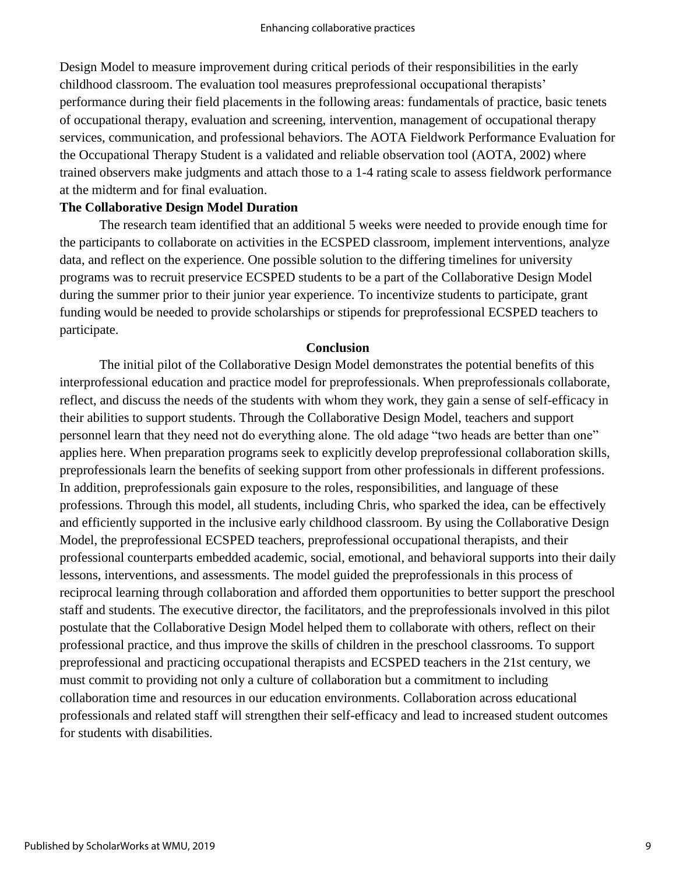Design Model to measure improvement during critical periods of their responsibilities in the early childhood classroom. The evaluation tool measures preprofessional occupational therapists' performance during their field placements in the following areas: fundamentals of practice, basic tenets of occupational therapy, evaluation and screening, intervention, management of occupational therapy services, communication, and professional behaviors. The AOTA Fieldwork Performance Evaluation for the Occupational Therapy Student is a validated and reliable observation tool (AOTA, 2002) where trained observers make judgments and attach those to a 1-4 rating scale to assess fieldwork performance at the midterm and for final evaluation.

#### **The Collaborative Design Model Duration**

The research team identified that an additional 5 weeks were needed to provide enough time for the participants to collaborate on activities in the ECSPED classroom, implement interventions, analyze data, and reflect on the experience. One possible solution to the differing timelines for university programs was to recruit preservice ECSPED students to be a part of the Collaborative Design Model during the summer prior to their junior year experience. To incentivize students to participate, grant funding would be needed to provide scholarships or stipends for preprofessional ECSPED teachers to participate.

#### **Conclusion**

The initial pilot of the Collaborative Design Model demonstrates the potential benefits of this interprofessional education and practice model for preprofessionals. When preprofessionals collaborate, reflect, and discuss the needs of the students with whom they work, they gain a sense of self-efficacy in their abilities to support students. Through the Collaborative Design Model, teachers and support personnel learn that they need not do everything alone. The old adage "two heads are better than one" applies here. When preparation programs seek to explicitly develop preprofessional collaboration skills, preprofessionals learn the benefits of seeking support from other professionals in different professions. In addition, preprofessionals gain exposure to the roles, responsibilities, and language of these professions. Through this model, all students, including Chris, who sparked the idea, can be effectively and efficiently supported in the inclusive early childhood classroom. By using the Collaborative Design Model, the preprofessional ECSPED teachers, preprofessional occupational therapists, and their professional counterparts embedded academic, social, emotional, and behavioral supports into their daily lessons, interventions, and assessments. The model guided the preprofessionals in this process of reciprocal learning through collaboration and afforded them opportunities to better support the preschool staff and students. The executive director, the facilitators, and the preprofessionals involved in this pilot postulate that the Collaborative Design Model helped them to collaborate with others, reflect on their professional practice, and thus improve the skills of children in the preschool classrooms. To support preprofessional and practicing occupational therapists and ECSPED teachers in the 21st century, we must commit to providing not only a culture of collaboration but a commitment to including collaboration time and resources in our education environments. Collaboration across educational professionals and related staff will strengthen their self-efficacy and lead to increased student outcomes for students with disabilities.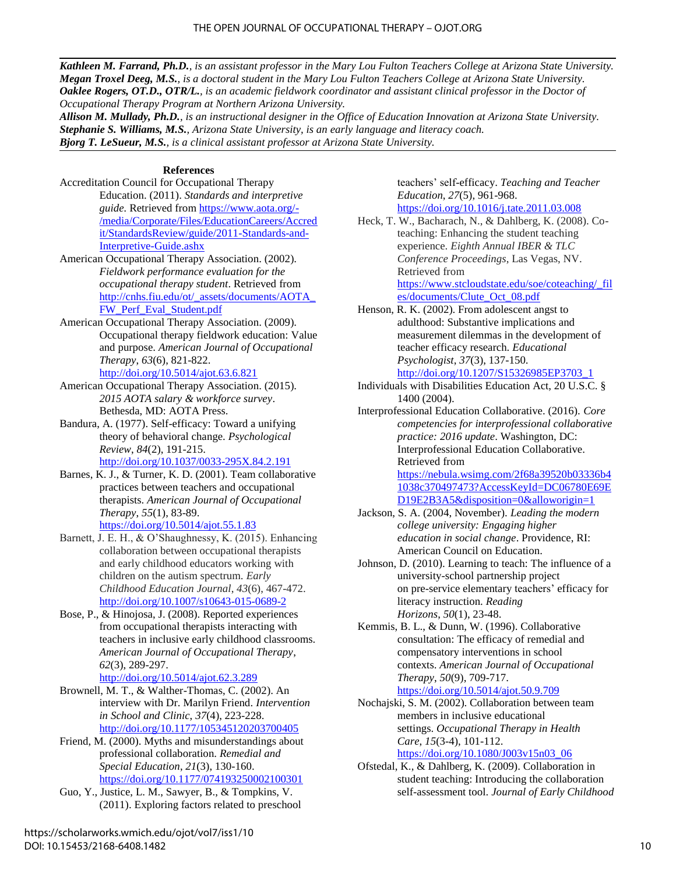*Kathleen M. Farrand, Ph.D., is an assistant professor in the Mary Lou Fulton Teachers College at Arizona State University. Megan Troxel Deeg, M.S., is a doctoral student in the Mary Lou Fulton Teachers College at Arizona State University. Oaklee Rogers, OT.D., OTR/L., is an academic fieldwork coordinator and assistant clinical professor in the Doctor of Occupational Therapy Program at Northern Arizona University.*

*Allison M. Mullady, Ph.D., is an instructional designer in the Office of Education Innovation at Arizona State University. Stephanie S. Williams, M.S., Arizona State University, is an early language and literacy coach. Bjorg T. LeSueur, M.S., is a clinical assistant professor at Arizona State University.*

#### **References**

- Accreditation Council for Occupational Therapy Education. (2011). *Standards and interpretive guide.* Retrieved from [https://www.aota.org/-](https://www.aota.org/-/media/Corporate/Files/EducationCareers/Accredit/StandardsReview/guide/2011-Standards-and-Interpretive-Guide.ashx) [/media/Corporate/Files/EducationCareers/Accred](https://www.aota.org/-/media/Corporate/Files/EducationCareers/Accredit/StandardsReview/guide/2011-Standards-and-Interpretive-Guide.ashx) [it/StandardsReview/guide/2011-Standards-and-](https://www.aota.org/-/media/Corporate/Files/EducationCareers/Accredit/StandardsReview/guide/2011-Standards-and-Interpretive-Guide.ashx)[Interpretive-Guide.ashx](https://www.aota.org/-/media/Corporate/Files/EducationCareers/Accredit/StandardsReview/guide/2011-Standards-and-Interpretive-Guide.ashx)
- American Occupational Therapy Association. (2002). *Fieldwork performance evaluation for the occupational therapy student*. Retrieved from [http://cnhs.fiu.edu/ot/\\_assets/documents/AOTA\\_](http://cnhs.fiu.edu/ot/_assets/documents/AOTA_FW_Perf_Eval_Student.pdf) [FW\\_Perf\\_Eval\\_Student.pdf](http://cnhs.fiu.edu/ot/_assets/documents/AOTA_FW_Perf_Eval_Student.pdf)
- American Occupational Therapy Association. (2009). Occupational therapy fieldwork education: Value and purpose. *American Journal of Occupational Therapy*, *63*(6), 821-822. <http://doi.org/10.5014/ajot.63.6.821>
- American Occupational Therapy Association. (2015). *2015 AOTA salary & workforce survey*. Bethesda, MD: AOTA Press.
- Bandura, A. (1977). Self-efficacy: Toward a unifying theory of behavioral change. *Psychological Review*, *84*(2), 191-215. <http://doi.org/10.1037/0033-295X.84.2.191>
- Barnes, K. J., & Turner, K. D. (2001). Team collaborative practices between teachers and occupational therapists. *American Journal of Occupational Therapy*, *55*(1), 83-89. <https://doi.org/10.5014/ajot.55.1.83>
- Barnett, J. E. H., & O'Shaughnessy, K. (2015). Enhancing collaboration between occupational therapists and early childhood educators working with children on the autism spectrum. *Early Childhood Education Journal*, *43*(6), 467-472. <http://doi.org/10.1007/s10643-015-0689-2>
- Bose, P., & Hinojosa, J. (2008). Reported experiences from occupational therapists interacting with teachers in inclusive early childhood classrooms. *American Journal of Occupational Therapy*, *62*(3), 289-297. <http://doi.org/10.5014/ajot.62.3.289>
- Brownell, M. T., & Walther-Thomas, C. (2002). An interview with Dr. Marilyn Friend. *Intervention in School and Clinic*, *37*(4), 223-228. <http://doi.org/10.1177/105345120203700405>
- Friend, M. (2000). Myths and misunderstandings about professional collaboration. *Remedial and Special Education*, *21*(3), 130-160. <https://doi.org/10.1177/074193250002100301>
- Guo, Y., Justice, L. M., Sawyer, B., & Tompkins, V. (2011). Exploring factors related to preschool

teachers' self-efficacy. *Teaching and Teacher Education*, *27*(5), 961-968. <https://doi.org/10.1016/j.tate.2011.03.008>

- Heck, T. W., Bacharach, N., & Dahlberg, K. (2008). Coteaching: Enhancing the student teaching experience. *Eighth Annual IBER & TLC Conference Proceedings*, Las Vegas, NV. Retrieved from [https://www.stcloudstate.edu/soe/coteaching/\\_fil](https://www.stcloudstate.edu/soe/coteaching/_files/documents/Clute_Oct_08.pdf) [es/documents/Clute\\_Oct\\_08.pdf](https://www.stcloudstate.edu/soe/coteaching/_files/documents/Clute_Oct_08.pdf)
- Henson, R. K. (2002). From adolescent angst to adulthood: Substantive implications and measurement dilemmas in the development of teacher efficacy research. *Educational Psychologist*, *37*(3), 137-150. [http://doi.org/10.1207/S15326985EP3703\\_1](http://doi.org/10.1207/S15326985EP3703_1)
- Individuals with Disabilities Education Act, 20 U.S.C. § 1400 (2004).
- Interprofessional Education Collaborative. (2016). *Core competencies for interprofessional collaborative practice: 2016 update*. Washington, DC: Interprofessional Education Collaborative. Retrieved from [https://nebula.wsimg.com/2f68a39520b03336b4](https://nebula.wsimg.com/2f68a39520b03336b41038c370497473?AccessKeyId=DC06780E69ED19E2B3A5&disposition=0&alloworigin=1) [1038c370497473?AccessKeyId=DC06780E69E](https://nebula.wsimg.com/2f68a39520b03336b41038c370497473?AccessKeyId=DC06780E69ED19E2B3A5&disposition=0&alloworigin=1)

[D19E2B3A5&disposition=0&alloworigin=1](https://nebula.wsimg.com/2f68a39520b03336b41038c370497473?AccessKeyId=DC06780E69ED19E2B3A5&disposition=0&alloworigin=1)

- Jackson, S. A. (2004, November). *Leading the modern college university: Engaging higher education in social change*. Providence, RI: American Council on Education.
- Johnson, D. (2010). Learning to teach: The influence of a university-school partnership project on pre-service elementary teachers' efficacy for literacy instruction. *Reading Horizons*, *50*(1), 23-48.
- Kemmis, B. L., & Dunn, W. (1996). Collaborative consultation: The efficacy of remedial and compensatory interventions in school contexts. *American Journal of Occupational Therapy*, *50*(9), 709-717. <https://doi.org/10.5014/ajot.50.9.709>
- Nochajski, S. M. (2002). Collaboration between team members in inclusive educational settings. *Occupational Therapy in Health Care*, *15*(3-4), 101-112. [https://doi.org/10.1080/J003v15n03\\_06](https://doi.org/10.1080/J003v15n03_06)
- Ofstedal, K., & Dahlberg, K. (2009). Collaboration in student teaching: Introducing the collaboration self-assessment tool. *Journal of Early Childhood*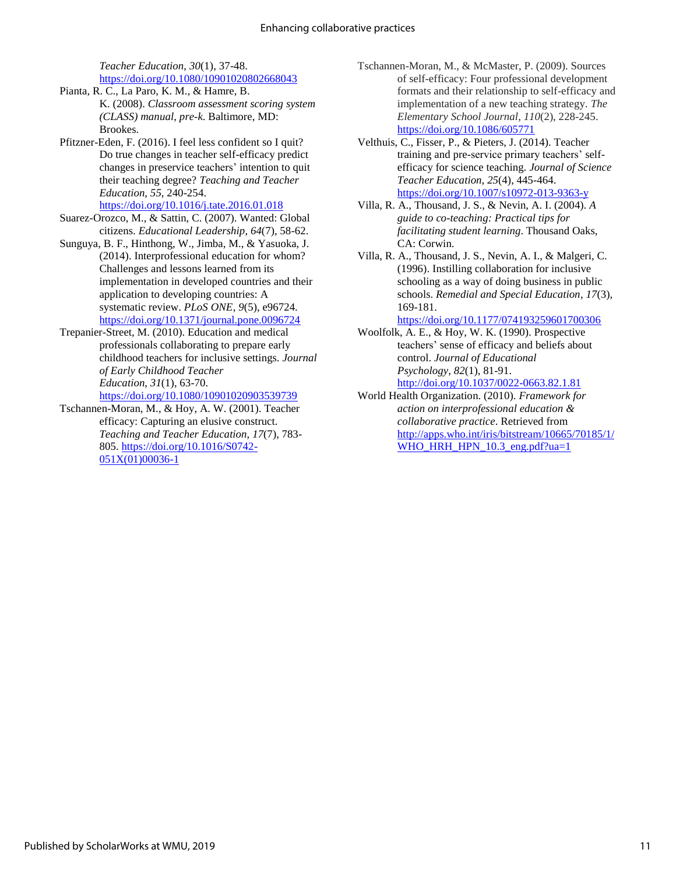*Teacher Education*, *30*(1), 37-48. <https://doi.org/10.1080/10901020802668043>

- Pianta, R. C., La Paro, K. M., & Hamre, B. K. (2008). *Classroom assessment scoring system (CLASS) manual*, *pre-k*. Baltimore, MD: Brookes.
- Pfitzner-Eden, F. (2016). I feel less confident so I quit? Do true changes in teacher self-efficacy predict changes in preservice teachers' intention to quit their teaching degree? *Teaching and Teacher Education*, *55*, 240-254.

<https://doi.org/10.1016/j.tate.2016.01.018>

Suarez-Orozco, M., & Sattin, C. (2007). Wanted: Global citizens. *Educational Leadership*, *64*(7), 58-62.

Sunguya, B. F., Hinthong, W., Jimba, M., & Yasuoka, J. (2014). Interprofessional education for whom? Challenges and lessons learned from its implementation in developed countries and their application to developing countries: A systematic review. *PLoS ONE*, *9*(5), e96724. <https://doi.org/10.1371/journal.pone.0096724>

Trepanier-Street, M. (2010). Education and medical professionals collaborating to prepare early childhood teachers for inclusive settings. *Journal of Early Childhood Teacher Education*, *31*(1), 63-70. <https://doi.org/10.1080/10901020903539739>

Tschannen-Moran, M., & Hoy, A. W. (2001). Teacher efficacy: Capturing an elusive construct. *Teaching and Teacher Education*, *17*(7), 783- 805. [https://doi.org/10.1016/S0742-](https://doi.org/10.1016/S0742-051X(01)00036-1) [051X\(01\)00036-1](https://doi.org/10.1016/S0742-051X(01)00036-1)

- Tschannen-Moran, M., & McMaster, P. (2009). Sources of self-efficacy: Four professional development formats and their relationship to self-efficacy and implementation of a new teaching strategy. *The Elementary School Journal*, *110*(2), 228-245. <https://doi.org/10.1086/605771>
- Velthuis, C., Fisser, P., & Pieters, J. (2014). Teacher training and pre-service primary teachers' selfefficacy for science teaching. *Journal of Science Teacher Education*, *25*(4), 445-464. <https://doi.org/10.1007/s10972-013-9363-y>
- Villa, R. A., Thousand, J. S., & Nevin, A. I. (2004). *A guide to co-teaching: Practical tips for facilitating student learning*. Thousand Oaks, CA: Corwin.
- Villa, R. A., Thousand, J. S., Nevin, A. I., & Malgeri, C. (1996). Instilling collaboration for inclusive schooling as a way of doing business in public schools. *Remedial and Special Education*, *17*(3), 169-181.

<https://doi.org/10.1177/074193259601700306>

- Woolfolk, A. E., & Hoy, W. K. (1990). Prospective teachers' sense of efficacy and beliefs about control. *Journal of Educational Psychology*, *82*(1), 81-91. <http://doi.org/10.1037/0022-0663.82.1.81>
- World Health Organization. (2010). *Framework for action on interprofessional education & collaborative practice*. Retrieved from [http://apps.who.int/iris/bitstream/10665/70185/1/](http://apps.who.int/iris/bitstream/10665/70185/1/WHO_HRH_HPN_10.3_eng.pdf?ua=1) [WHO\\_HRH\\_HPN\\_10.3\\_eng.pdf?ua=1](http://apps.who.int/iris/bitstream/10665/70185/1/WHO_HRH_HPN_10.3_eng.pdf?ua=1)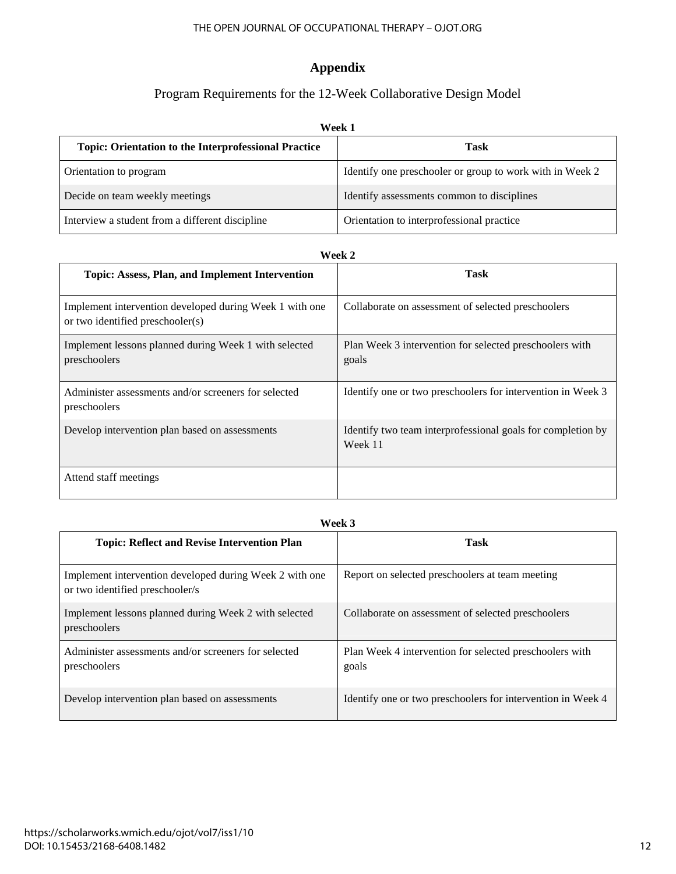#### THE OPEN JOURNAL OF OCCUPATIONAL THERAPY – OJOT.ORG

## **Appendix**

## Program Requirements for the 12-Week Collaborative Design Model

| Week 1                                                      |                                                          |
|-------------------------------------------------------------|----------------------------------------------------------|
| <b>Topic: Orientation to the Interprofessional Practice</b> | Task                                                     |
| Orientation to program                                      | Identify one preschooler or group to work with in Week 2 |
| Decide on team weekly meetings                              | Identify assessments common to disciplines               |
| Interview a student from a different discipline             | Orientation to interprofessional practice                |

#### **Week 2**

| ******                                                                                      |                                                                        |
|---------------------------------------------------------------------------------------------|------------------------------------------------------------------------|
| <b>Topic: Assess, Plan, and Implement Intervention</b>                                      | Task                                                                   |
| Implement intervention developed during Week 1 with one<br>or two identified preschooler(s) | Collaborate on assessment of selected preschoolers                     |
| Implement lessons planned during Week 1 with selected<br>preschoolers                       | Plan Week 3 intervention for selected preschoolers with<br>goals       |
| Administer assessments and/or screeners for selected<br>preschoolers                        | Identify one or two preschoolers for intervention in Week 3            |
| Develop intervention plan based on assessments                                              | Identify two team interprofessional goals for completion by<br>Week 11 |
| Attend staff meetings                                                                       |                                                                        |

#### **Week 3**

| <b>Topic: Reflect and Revise Intervention Plan</b>                                         | Task                                                             |
|--------------------------------------------------------------------------------------------|------------------------------------------------------------------|
| Implement intervention developed during Week 2 with one<br>or two identified preschooler/s | Report on selected preschoolers at team meeting                  |
| Implement lessons planned during Week 2 with selected<br>preschoolers                      | Collaborate on assessment of selected preschoolers               |
| Administer assessments and/or screeners for selected<br>preschoolers                       | Plan Week 4 intervention for selected preschoolers with<br>goals |
| Develop intervention plan based on assessments                                             | Identify one or two preschoolers for intervention in Week 4      |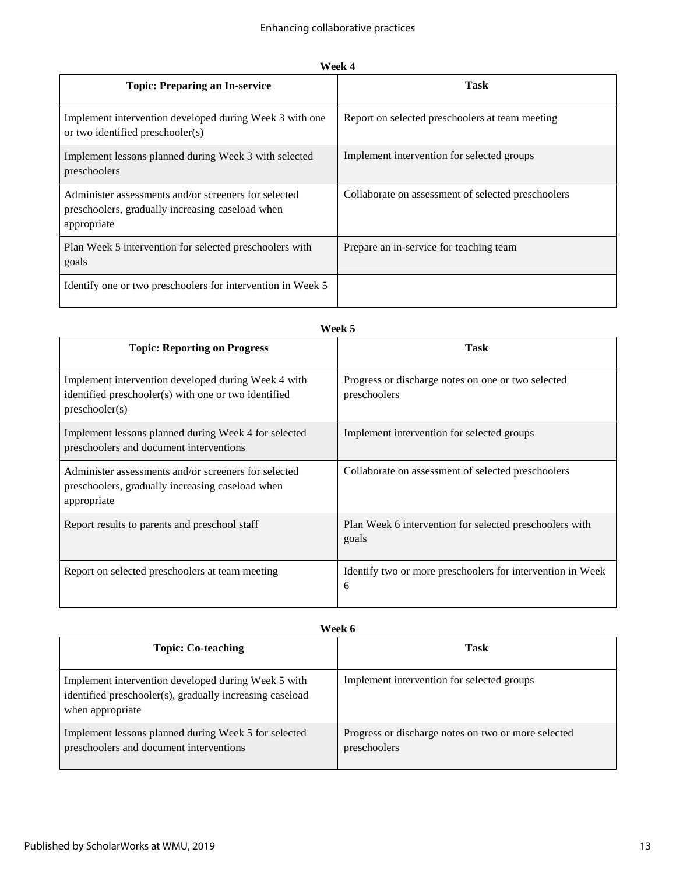| Р<br>٠ |  |
|--------|--|
|--------|--|

| <b>Topic: Preparing an In-service</b>                                                                                   | <b>Task</b>                                        |
|-------------------------------------------------------------------------------------------------------------------------|----------------------------------------------------|
| Implement intervention developed during Week 3 with one<br>or two identified preschooler(s)                             | Report on selected preschoolers at team meeting    |
| Implement lessons planned during Week 3 with selected<br>preschoolers                                                   | Implement intervention for selected groups         |
| Administer assessments and/or screeners for selected<br>preschoolers, gradually increasing caseload when<br>appropriate | Collaborate on assessment of selected preschoolers |
| Plan Week 5 intervention for selected preschoolers with<br>goals                                                        | Prepare an in-service for teaching team            |
| Identify one or two preschoolers for intervention in Week 5                                                             |                                                    |

| Week 5                                                                                                                        |                                                                    |
|-------------------------------------------------------------------------------------------------------------------------------|--------------------------------------------------------------------|
| <b>Topic: Reporting on Progress</b>                                                                                           | Task                                                               |
| Implement intervention developed during Week 4 with<br>identified preschooler(s) with one or two identified<br>preschooler(s) | Progress or discharge notes on one or two selected<br>preschoolers |
| Implement lessons planned during Week 4 for selected<br>preschoolers and document interventions                               | Implement intervention for selected groups                         |
| Administer assessments and/or screeners for selected<br>preschoolers, gradually increasing caseload when<br>appropriate       | Collaborate on assessment of selected preschoolers                 |
| Report results to parents and preschool staff                                                                                 | Plan Week 6 intervention for selected preschoolers with<br>goals   |
| Report on selected preschoolers at team meeting                                                                               | Identify two or more preschoolers for intervention in Week<br>6    |

| Week 6                                                                                                                              |                                                                     |
|-------------------------------------------------------------------------------------------------------------------------------------|---------------------------------------------------------------------|
| <b>Topic: Co-teaching</b>                                                                                                           | Task                                                                |
| Implement intervention developed during Week 5 with<br>identified preschooler(s), gradually increasing caseload<br>when appropriate | Implement intervention for selected groups                          |
| Implement lessons planned during Week 5 for selected<br>preschoolers and document interventions                                     | Progress or discharge notes on two or more selected<br>preschoolers |